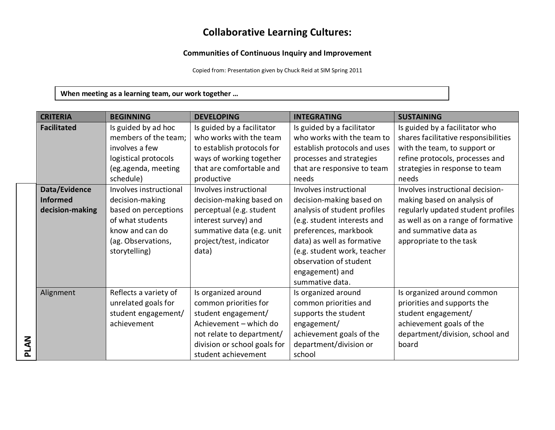## **Collaborative Learning Cultures:**

## **Communities of Continuous Inquiry and Improvement**

Copied from: Presentation given by Chuck Reid at SIM Spring 2011

**When meeting as a learning team, our work together …** 

| <b>CRITERIA</b>    | <b>BEGINNING</b>       | <b>DEVELOPING</b>            | <b>INTEGRATING</b>           | <b>SUSTAINING</b>                    |
|--------------------|------------------------|------------------------------|------------------------------|--------------------------------------|
| <b>Facilitated</b> | Is guided by ad hoc    | Is guided by a facilitator   | Is guided by a facilitator   | Is guided by a facilitator who       |
|                    | members of the team;   | who works with the team      | who works with the team to   | shares facilitative responsibilities |
|                    | involves a few         | to establish protocols for   | establish protocols and uses | with the team, to support or         |
|                    | logistical protocols   | ways of working together     | processes and strategies     | refine protocols, processes and      |
|                    | (eg.agenda, meeting    | that are comfortable and     | that are responsive to team  | strategies in response to team       |
|                    | schedule)              | productive                   | needs                        | needs                                |
| Data/Evidence      | Involves instructional | Involves instructional       | Involves instructional       | Involves instructional decision-     |
| <b>Informed</b>    | decision-making        | decision-making based on     | decision-making based on     | making based on analysis of          |
| decision-making    | based on perceptions   | perceptual (e.g. student     | analysis of student profiles | regularly updated student profiles   |
|                    | of what students       | interest survey) and         | (e.g. student interests and  | as well as on a range of formative   |
|                    | know and can do        | summative data (e.g. unit    | preferences, markbook        | and summative data as                |
|                    | (ag. Observations,     | project/test, indicator      | data) as well as formative   | appropriate to the task              |
|                    | storytelling)          | data)                        | (e.g. student work, teacher  |                                      |
|                    |                        |                              | observation of student       |                                      |
|                    |                        |                              | engagement) and              |                                      |
|                    |                        |                              | summative data.              |                                      |
| Alignment          | Reflects a variety of  | Is organized around          | Is organized around          | Is organized around common           |
|                    | unrelated goals for    | common priorities for        | common priorities and        | priorities and supports the          |
|                    | student engagement/    | student engagement/          | supports the student         | student engagement/                  |
|                    | achievement            | Achievement - which do       | engagement/                  | achievement goals of the             |
|                    |                        | not relate to department/    | achievement goals of the     | department/division, school and      |
| <b>PLAN</b>        |                        | division or school goals for | department/division or       | board                                |
|                    |                        | student achievement          | school                       |                                      |